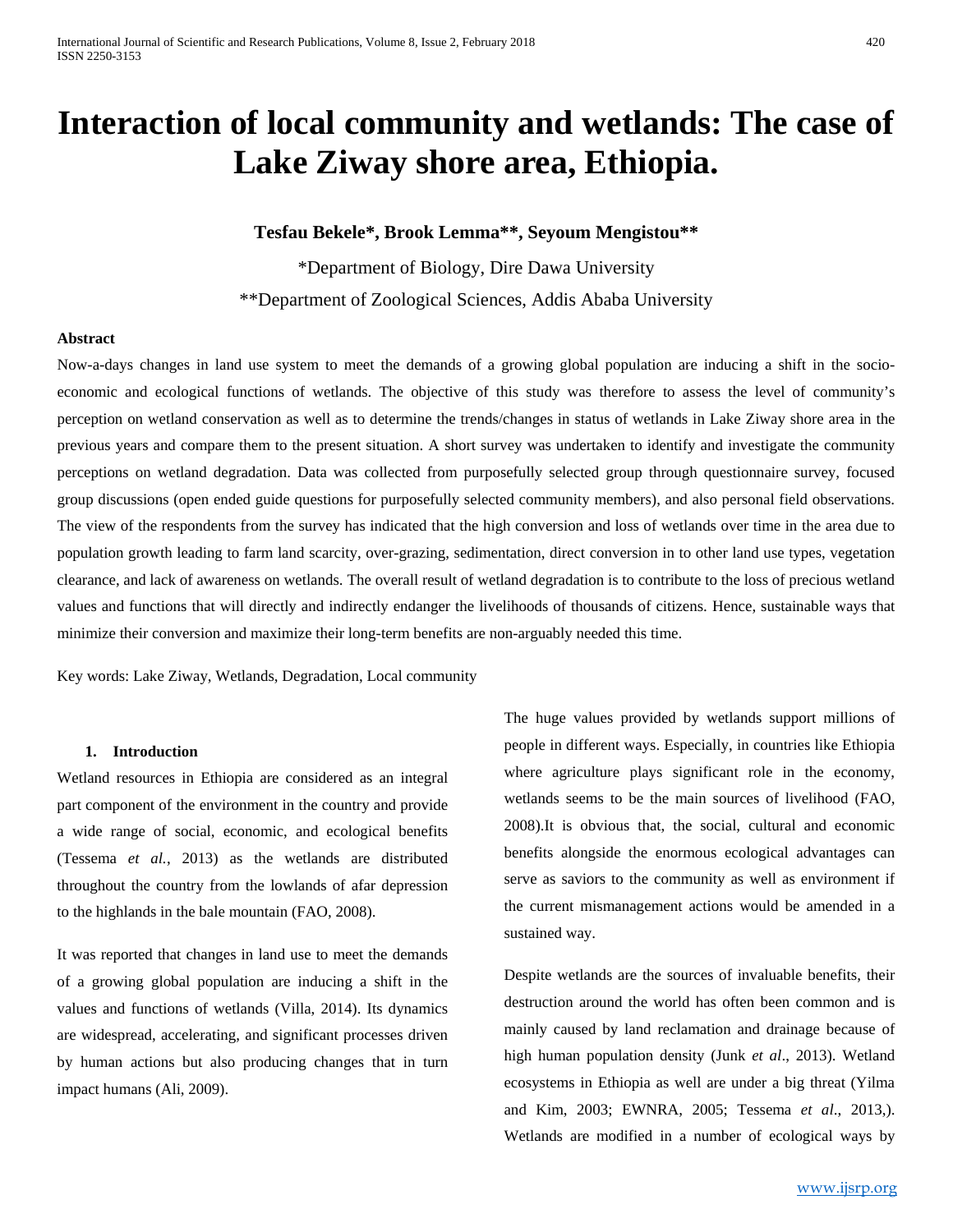# **Interaction of local community and wetlands: The case of Lake Ziway shore area, Ethiopia.**

## **Tesfau Bekele\*, Brook Lemma\*\*, Seyoum Mengistou\*\***

\*Department of Biology, Dire Dawa University \*\*Department of Zoological Sciences, Addis Ababa University

## **Abstract**

Now-a-days changes in land use system to meet the demands of a growing global population are inducing a shift in the socioeconomic and ecological functions of wetlands. The objective of this study was therefore to assess the level of community's perception on wetland conservation as well as to determine the trends/changes in status of wetlands in Lake Ziway shore area in the previous years and compare them to the present situation. A short survey was undertaken to identify and investigate the community perceptions on wetland degradation. Data was collected from purposefully selected group through questionnaire survey, focused group discussions (open ended guide questions for purposefully selected community members), and also personal field observations. The view of the respondents from the survey has indicated that the high conversion and loss of wetlands over time in the area due to population growth leading to farm land scarcity, over-grazing, sedimentation, direct conversion in to other land use types, vegetation clearance, and lack of awareness on wetlands. The overall result of wetland degradation is to contribute to the loss of precious wetland values and functions that will directly and indirectly endanger the livelihoods of thousands of citizens. Hence, sustainable ways that minimize their conversion and maximize their long-term benefits are non-arguably needed this time.

Key words: Lake Ziway, Wetlands, Degradation, Local community

#### **1. Introduction**

Wetland resources in Ethiopia are considered as an integral part component of the environment in the country and provide a wide range of social, economic, and ecological benefits (Tessema *et al.*, 2013) as the wetlands are distributed throughout the country from the lowlands of afar depression to the highlands in the bale mountain (FAO, 2008).

It was reported that changes in land use to meet the demands of a growing global population are inducing a shift in the values and functions of wetlands (Villa, 2014). Its dynamics are widespread, accelerating, and significant processes driven by human actions but also producing changes that in turn impact humans (Ali, 2009).

The huge values provided by wetlands support millions of people in different ways. Especially, in countries like Ethiopia where agriculture plays significant role in the economy, wetlands seems to be the main sources of livelihood (FAO, 2008).It is obvious that, the social, cultural and economic benefits alongside the enormous ecological advantages can serve as saviors to the community as well as environment if the current mismanagement actions would be amended in a sustained way.

Despite wetlands are the sources of invaluable benefits, their destruction around the world has often been common and is mainly caused by land reclamation and drainage because of high human population density (Junk *et al*., 2013). Wetland ecosystems in Ethiopia as well are under a big threat (Yilma and Kim, 2003; EWNRA, 2005; Tessema *et al*., 2013,). Wetlands are modified in a number of ecological ways by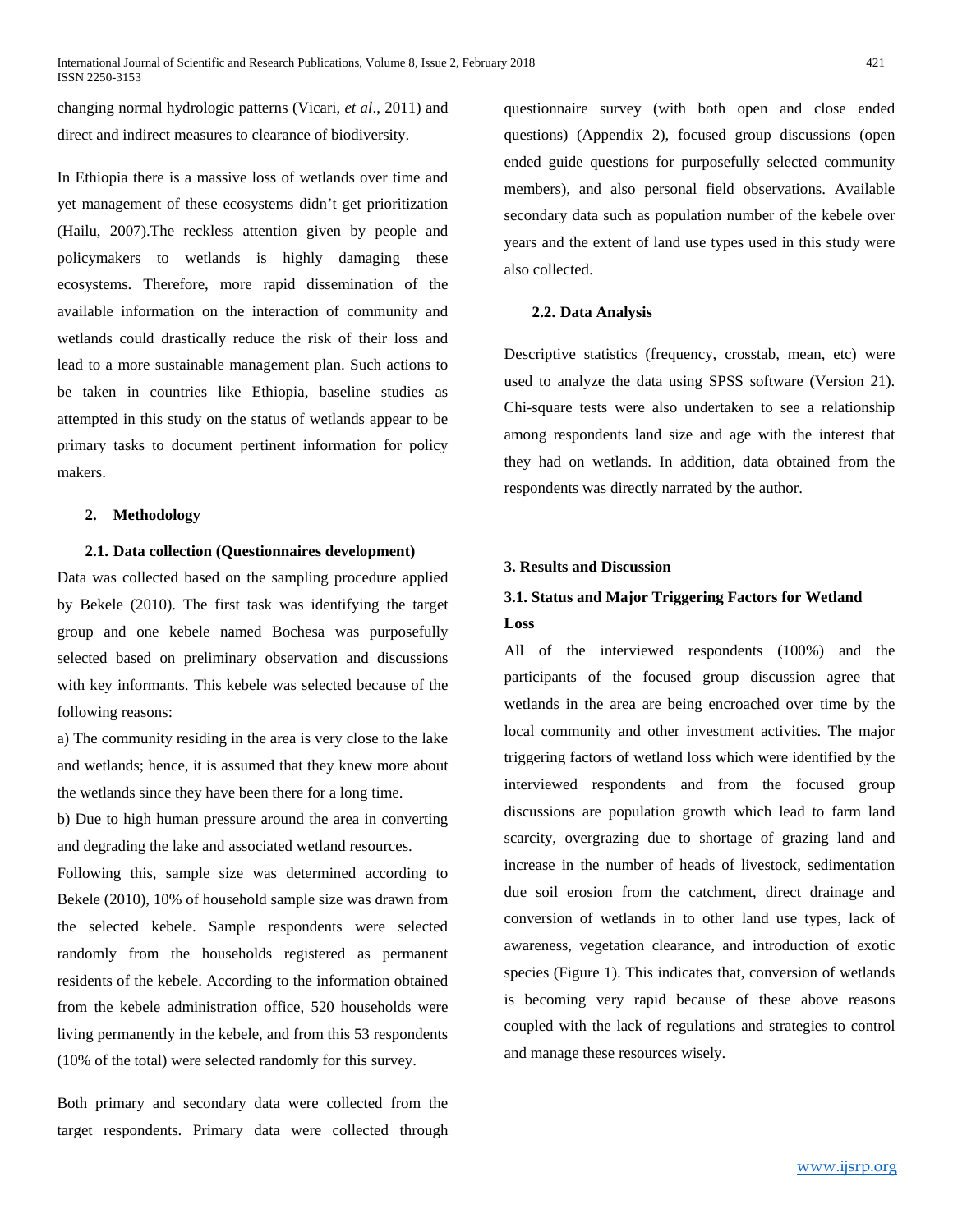changing normal hydrologic patterns (Vicari, *et al*., 2011) and direct and indirect measures to clearance of biodiversity.

In Ethiopia there is a massive loss of wetlands over time and yet management of these ecosystems didn't get prioritization (Hailu, 2007).The reckless attention given by people and policymakers to wetlands is highly damaging these ecosystems. Therefore, more rapid dissemination of the available information on the interaction of community and wetlands could drastically reduce the risk of their loss and lead to a more sustainable management plan. Such actions to be taken in countries like Ethiopia, baseline studies as attempted in this study on the status of wetlands appear to be primary tasks to document pertinent information for policy makers.

#### **2. Methodology**

## **2.1. Data collection (Questionnaires development)**

Data was collected based on the sampling procedure applied by Bekele (2010). The first task was identifying the target group and one kebele named Bochesa was purposefully selected based on preliminary observation and discussions with key informants. This kebele was selected because of the following reasons:

a) The community residing in the area is very close to the lake and wetlands; hence, it is assumed that they knew more about the wetlands since they have been there for a long time.

b) Due to high human pressure around the area in converting and degrading the lake and associated wetland resources.

Following this, sample size was determined according to Bekele (2010), 10% of household sample size was drawn from the selected kebele. Sample respondents were selected randomly from the households registered as permanent residents of the kebele. According to the information obtained from the kebele administration office, 520 households were living permanently in the kebele, and from this 53 respondents (10% of the total) were selected randomly for this survey.

Both primary and secondary data were collected from the target respondents. Primary data were collected through questionnaire survey (with both open and close ended questions) (Appendix 2), focused group discussions (open ended guide questions for purposefully selected community members), and also personal field observations. Available secondary data such as population number of the kebele over years and the extent of land use types used in this study were also collected.

#### **2.2. Data Analysis**

Descriptive statistics (frequency, crosstab, mean, etc) were used to analyze the data using SPSS software (Version 21). Chi-square tests were also undertaken to see a relationship among respondents land size and age with the interest that they had on wetlands. In addition, data obtained from the respondents was directly narrated by the author.

## **3. Results and Discussion**

## **3.1. Status and Major Triggering Factors for Wetland Loss**

All of the interviewed respondents (100%) and the participants of the focused group discussion agree that wetlands in the area are being encroached over time by the local community and other investment activities. The major triggering factors of wetland loss which were identified by the interviewed respondents and from the focused group discussions are population growth which lead to farm land scarcity, overgrazing due to shortage of grazing land and increase in the number of heads of livestock, sedimentation due soil erosion from the catchment, direct drainage and conversion of wetlands in to other land use types, lack of awareness, vegetation clearance, and introduction of exotic species (Figure 1). This indicates that, conversion of wetlands is becoming very rapid because of these above reasons coupled with the lack of regulations and strategies to control and manage these resources wisely.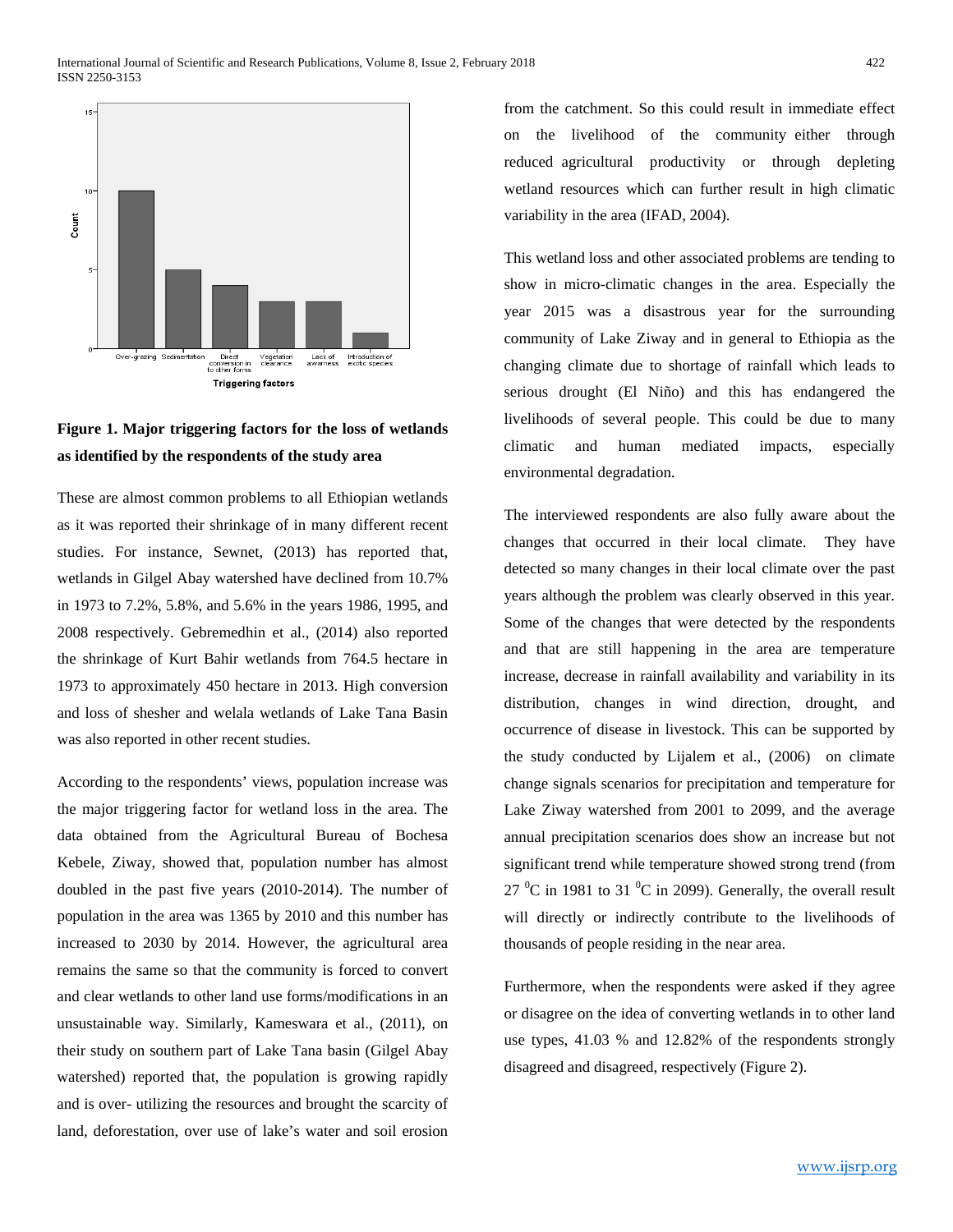

# **Figure 1. Major triggering factors for the loss of wetlands as identified by the respondents of the study area**

These are almost common problems to all Ethiopian wetlands as it was reported their shrinkage of in many different recent studies. For instance, Sewnet, (2013) has reported that, wetlands in Gilgel Abay watershed have declined from 10.7% in 1973 to 7.2%, 5.8%, and 5.6% in the years 1986, 1995, and 2008 respectively. Gebremedhin et al., (2014) also reported the shrinkage of Kurt Bahir wetlands from 764.5 hectare in 1973 to approximately 450 hectare in 2013. High conversion and loss of shesher and welala wetlands of Lake Tana Basin was also reported in other recent studies.

According to the respondents' views, population increase was the major triggering factor for wetland loss in the area. The data obtained from the Agricultural Bureau of Bochesa Kebele, Ziway, showed that, population number has almost doubled in the past five years (2010-2014). The number of population in the area was 1365 by 2010 and this number has increased to 2030 by 2014. However, the agricultural area remains the same so that the community is forced to convert and clear wetlands to other land use forms/modifications in an unsustainable way. Similarly, Kameswara et al., (2011), on their study on southern part of Lake Tana basin (Gilgel Abay watershed) reported that, the population is growing rapidly and is over- utilizing the resources and brought the scarcity of land, deforestation, over use of lake's water and soil erosion

from the catchment. So this could result in immediate effect on the livelihood of the community either through reduced agricultural productivity or through depleting wetland resources which can further result in high climatic variability in the area (IFAD, 2004).

This wetland loss and other associated problems are tending to show in micro-climatic changes in the area. Especially the year 2015 was a disastrous year for the surrounding community of Lake Ziway and in general to Ethiopia as the changing climate due to shortage of rainfall which leads to serious drought (El Niño) and this has endangered the livelihoods of several people. This could be due to many climatic and human mediated impacts, especially environmental degradation.

The interviewed respondents are also fully aware about the changes that occurred in their local climate. They have detected so many changes in their local climate over the past years although the problem was clearly observed in this year. Some of the changes that were detected by the respondents and that are still happening in the area are temperature increase, decrease in rainfall availability and variability in its distribution, changes in wind direction, drought, and occurrence of disease in livestock. This can be supported by the study conducted by Lijalem et al., (2006) on climate change signals scenarios for precipitation and temperature for Lake Ziway watershed from 2001 to 2099, and the average annual precipitation scenarios does show an increase but not significant trend while temperature showed strong trend (from 27  $\mathrm{^0C}$  in 1981 to 31  $\mathrm{^0C}$  in 2099). Generally, the overall result will directly or indirectly contribute to the livelihoods of thousands of people residing in the near area.

Furthermore, when the respondents were asked if they agree or disagree on the idea of converting wetlands in to other land use types, 41.03 % and 12.82% of the respondents strongly disagreed and disagreed, respectively (Figure 2).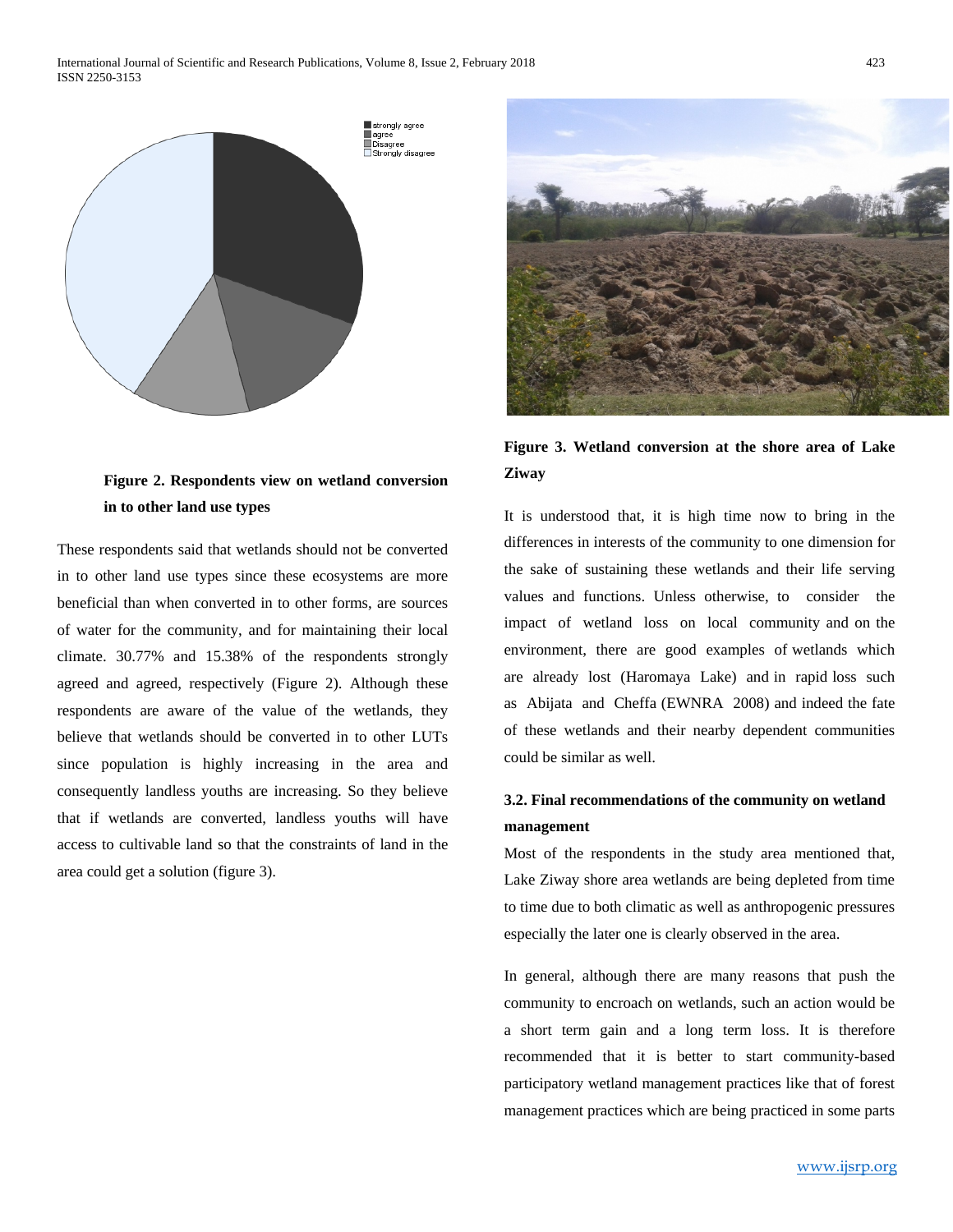

## **Figure 2. Respondents view on wetland conversion in to other land use types**

These respondents said that wetlands should not be converted in to other land use types since these ecosystems are more beneficial than when converted in to other forms, are sources of water for the community, and for maintaining their local climate. 30.77% and 15.38% of the respondents strongly agreed and agreed, respectively (Figure 2). Although these respondents are aware of the value of the wetlands, they believe that wetlands should be converted in to other LUTs since population is highly increasing in the area and consequently landless youths are increasing. So they believe that if wetlands are converted, landless youths will have access to cultivable land so that the constraints of land in the area could get a solution (figure 3).



**Figure 3. Wetland conversion at the shore area of Lake Ziway**

It is understood that, it is high time now to bring in the differences in interests of the community to one dimension for the sake of sustaining these wetlands and their life serving values and functions. Unless otherwise, to consider the impact of wetland loss on local community and on the environment, there are good examples of wetlands which are already lost (Haromaya Lake) and in rapid loss such as Abijata and Cheffa (EWNRA 2008) and indeed the fate of these wetlands and their nearby dependent communities could be similar as well.

## **3.2. Final recommendations of the community on wetland management**

Most of the respondents in the study area mentioned that, Lake Ziway shore area wetlands are being depleted from time to time due to both climatic as well as anthropogenic pressures especially the later one is clearly observed in the area.

In general, although there are many reasons that push the community to encroach on wetlands, such an action would be a short term gain and a long term loss. It is therefore recommended that it is better to start community-based participatory wetland management practices like that of forest management practices which are being practiced in some parts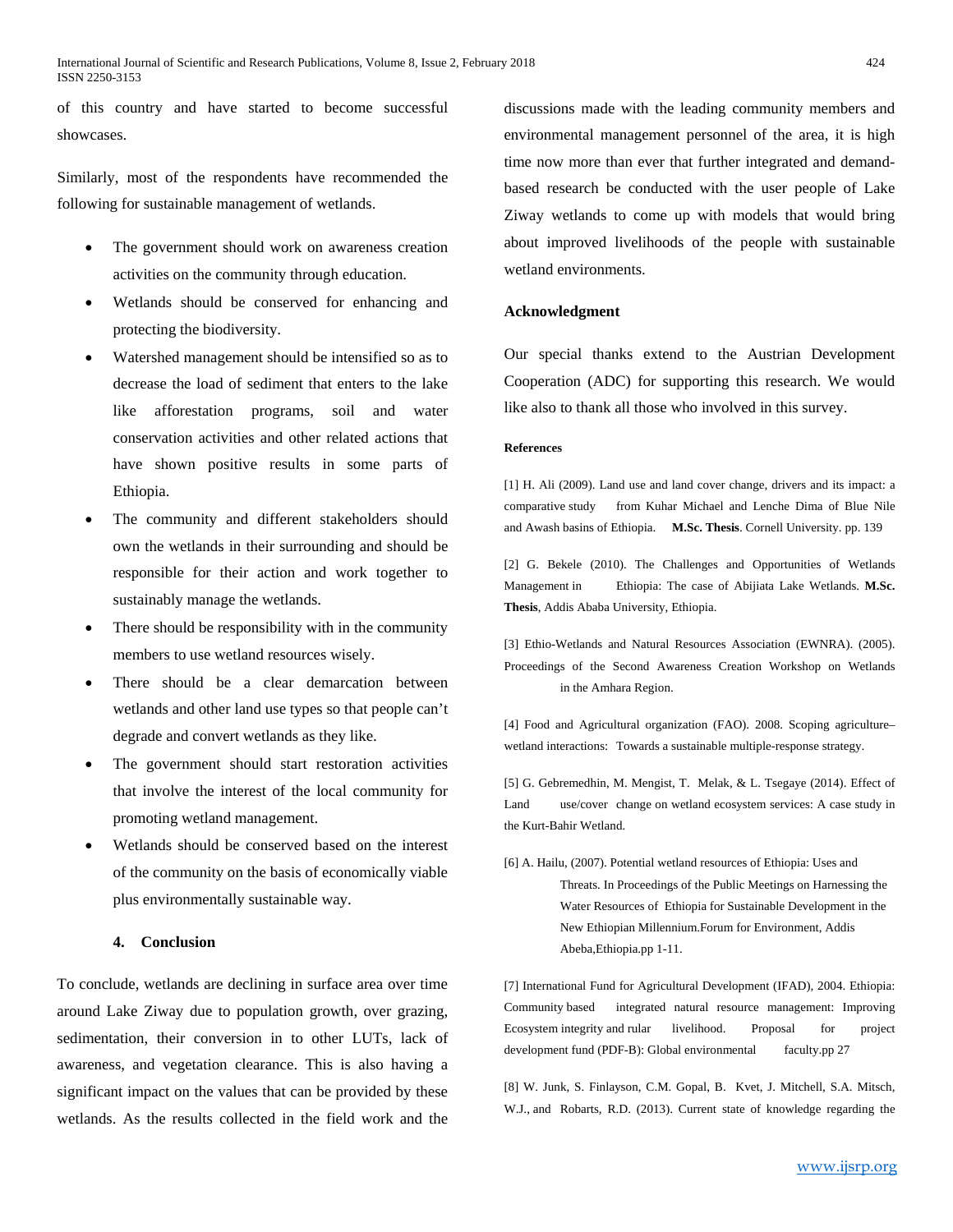of this country and have started to become successful showcases.

Similarly, most of the respondents have recommended the following for sustainable management of wetlands.

- The government should work on awareness creation activities on the community through education.
- Wetlands should be conserved for enhancing and protecting the biodiversity.
- Watershed management should be intensified so as to decrease the load of sediment that enters to the lake like afforestation programs, soil and water conservation activities and other related actions that have shown positive results in some parts of Ethiopia.
- The community and different stakeholders should own the wetlands in their surrounding and should be responsible for their action and work together to sustainably manage the wetlands.
- There should be responsibility with in the community members to use wetland resources wisely.
- There should be a clear demarcation between wetlands and other land use types so that people can't degrade and convert wetlands as they like.
- The government should start restoration activities that involve the interest of the local community for promoting wetland management.
- Wetlands should be conserved based on the interest of the community on the basis of economically viable plus environmentally sustainable way.

## **4. Conclusion**

To conclude, wetlands are declining in surface area over time around Lake Ziway due to population growth, over grazing, sedimentation, their conversion in to other LUTs, lack of awareness, and vegetation clearance. This is also having a significant impact on the values that can be provided by these wetlands. As the results collected in the field work and the

discussions made with the leading community members and environmental management personnel of the area, it is high time now more than ever that further integrated and demandbased research be conducted with the user people of Lake Ziway wetlands to come up with models that would bring about improved livelihoods of the people with sustainable wetland environments.

## **Acknowledgment**

Our special thanks extend to the Austrian Development Cooperation (ADC) for supporting this research. We would like also to thank all those who involved in this survey.

#### **References**

[1] H. Ali (2009). Land use and land cover change, drivers and its impact: a comparative study from Kuhar Michael and Lenche Dima of Blue Nile and Awash basins of Ethiopia. **M.Sc. Thesis**. Cornell University. pp. 139

[2] G. Bekele (2010). The Challenges and Opportunities of Wetlands Management in Ethiopia: The case of Abijiata Lake Wetlands. **M.Sc. Thesis**, Addis Ababa University, Ethiopia.

[3] Ethio-Wetlands and Natural Resources Association (EWNRA). (2005). Proceedings of the Second Awareness Creation Workshop on Wetlands in the Amhara Region.

[4] Food and Agricultural organization (FAO). 2008. Scoping agriculture– wetland interactions: Towards a sustainable multiple-response strategy.

[5] G. Gebremedhin, M. Mengist, T. Melak, & L. Tsegaye (2014). Effect of Land use/cover change on wetland ecosystem services: A case study in the Kurt-Bahir Wetland.

[6] A. Hailu, (2007). Potential wetland resources of Ethiopia: Uses and Threats. In Proceedings of the Public Meetings on Harnessing the Water Resources of Ethiopia for Sustainable Development in the New Ethiopian Millennium.Forum for Environment, Addis Abeba,Ethiopia.pp 1-11.

[7] International Fund for Agricultural Development (IFAD), 2004. Ethiopia: Community based integrated natural resource management: Improving Ecosystem integrity and rular livelihood. Proposal for project development fund (PDF-B): Global environmental faculty.pp 27

[8] W. Junk, S. Finlayson, C.M. Gopal, B. Kvet, J. Mitchell, S.A. Mitsch, W.J., and Robarts, R.D. (2013). Current state of knowledge regarding the